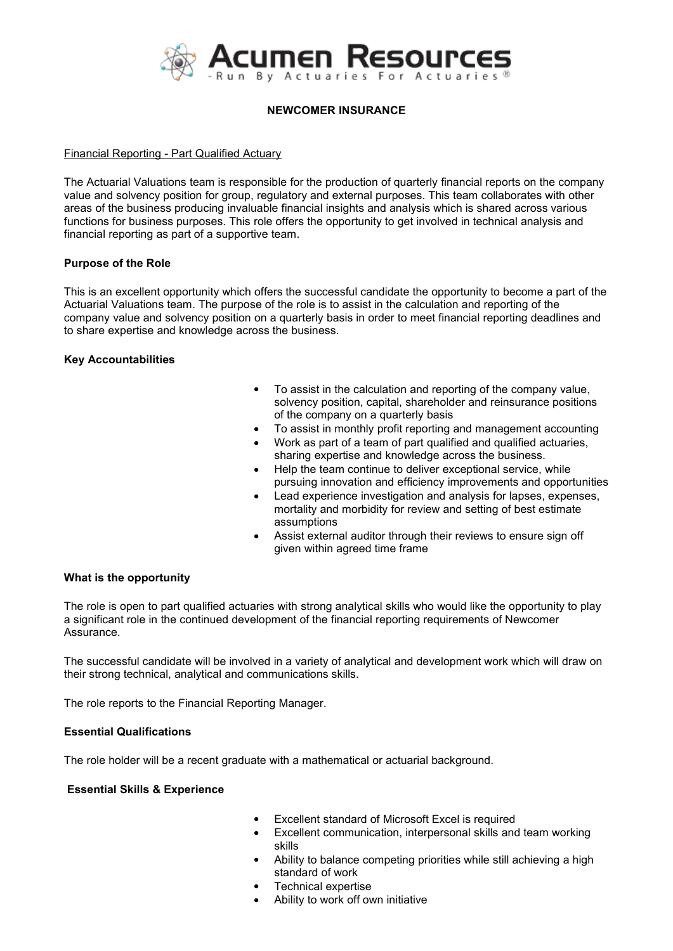

# **NEWCOMER INSURANCE**

### Financial Reporting - Part Qualified Actuary

The Actuarial Valuations team is responsible for the production of quarterly financial reports on the company value and solvency position for group, regulatory and external purposes. This team collaborates with other areas of the business producing invaluable financial insights and analysis which is shared across various functions for business purposes. This role offers the opportunity to get involved in technical analysis and financial reporting as part of a supportive team.

## **Purpose of the Role**

This is an excellent opportunity which offers the successful candidate the opportunity to become a part of the Actuarial Valuations team. The purpose of the role is to assist in the calculation and reporting of the company value and solvency position on a quarterly basis in order to meet financial reporting deadlines and to share expertise and knowledge across the business.

## **Key Accountabilities**

- To assist in the calculation and reporting of the company value, solvency position, capital, shareholder and reinsurance positions of the company on a quarterly basis
- To assist in monthly profit reporting and management accounting
- Work as part of a team of part qualified and qualified actuaries, sharing expertise and knowledge across the business.
- Help the team continue to deliver exceptional service, while pursuing innovation and efficiency improvements and opportunities
- Lead experience investigation and analysis for lapses, expenses, mortality and morbidity for review and setting of best estimate assumptions
- Assist external auditor through their reviews to ensure sign off given within agreed time frame

## **What is the opportunity**

The role is open to part qualified actuaries with strong analytical skills who would like the opportunity to play a significant role in the continued development of the financial reporting requirements of Newcomer Assurance.

The successful candidate will be involved in a variety of analytical and development work which will draw on their strong technical, analytical and communications skills.

The role reports to the Financial Reporting Manager.

### **Essential Qualifications**

The role holder will be a recent graduate with a mathematical or actuarial background.

### **Essential Skills & Experience**

- Excellent standard of Microsoft Excel is required
- Excellent communication, interpersonal skills and team working skills
- Ability to balance competing priorities while still achieving a high standard of work
- Technical expertise
- Ability to work off own initiative